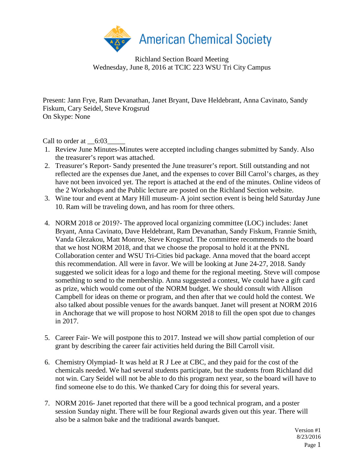

Richland Section Board Meeting Wednesday, June 8, 2016 at TCIC 223 WSU Tri City Campus

Present: Jann Frye, Ram Devanathan, Janet Bryant, Dave Heldebrant, Anna Cavinato, Sandy Fiskum, Cary Seidel, Steve Krogsrud On Skype: None

Call to order at  $6:03$ 

- 1. Review June Minutes-Minutes were accepted including changes submitted by Sandy. Also the treasurer's report was attached.
- 2. Treasurer's Report- Sandy presented the June treasurer's report. Still outstanding and not reflected are the expenses due Janet, and the expenses to cover Bill Carrol's charges, as they have not been invoiced yet. The report is attached at the end of the minutes. Online videos of the 2 Workshops and the Public lecture are posted on the Richland Section website.
- 3. Wine tour and event at Mary Hill museum- A joint section event is being held Saturday June 10. Ram will be traveling down, and has room for three others.
- 4. NORM 2018 or 2019?- The approved local organizing committee (LOC) includes: Janet Bryant, Anna Cavinato, Dave Heldebrant, Ram Devanathan, Sandy Fiskum, Frannie Smith, Vanda Glezakou, Matt Monroe, Steve Krogsrud. The committee recommends to the board that we host NORM 2018, and that we choose the proposal to hold it at the PNNL Collaboration center and WSU Tri-Cities bid package. Anna moved that the board accept this recommendation. All were in favor. We will be looking at June 24-27, 2018. Sandy suggested we solicit ideas for a logo and theme for the regional meeting. Steve will compose something to send to the membership. Anna suggested a contest, We could have a gift card as prize, which would come out of the NORM budget. We should consult with Allison Campbell for ideas on theme or program, and then after that we could hold the contest. We also talked about possible venues for the awards banquet. Janet will present at NORM 2016 in Anchorage that we will propose to host NORM 2018 to fill the open spot due to changes in 2017.
- 5. Career Fair- We will postpone this to 2017. Instead we will show partial completion of our grant by describing the career fair activities held during the Bill Carroll visit.
- 6. Chemistry Olympiad- It was held at R J Lee at CBC, and they paid for the cost of the chemicals needed. We had several students participate, but the students from Richland did not win. Cary Seidel will not be able to do this program next year, so the board will have to find someone else to do this. We thanked Cary for doing this for several years.
- 7. NORM 2016- Janet reported that there will be a good technical program, and a poster session Sunday night. There will be four Regional awards given out this year. There will also be a salmon bake and the traditional awards banquet.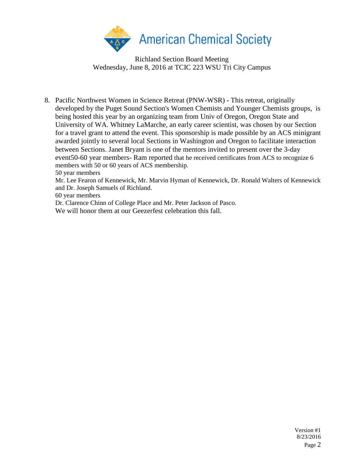

Richland Section Board Meeting Wednesday, June 8, 2016 at TCIC 223 WSU Tri City Campus

8. Pacific Northwest Women in Science Retreat (PNW-WSR) - This retreat, originally developed by the Puget Sound Section's Women Chemists and Younger Chemists groups, is being hosted this year by an organizing team from Univ of Oregon, Oregon State and University of WA. Whitney LaMarche, an early career scientist, was chosen by our Section for a travel grant to attend the event. This sponsorship is made possible by an ACS minigrant awarded jointly to several local Sections in Washington and Oregon to facilitate interaction between Sections. Janet Bryant is one of the mentors invited to present over the 3-day event50-60 year members- Ram reported that he received certificates from ACS to recognize 6 members with 50 or 60 years of ACS membership.

50 year members

Mr. Lee Fearon of Kennewick, Mr. Marvin Hyman of Kennewick, Dr. Ronald Walters of Kennewick and Dr. Joseph Samuels of Richland.

60 year members

Dr. Clarence Chinn of College Place and Mr. Peter Jackson of Pasco.

We will honor them at our Geezerfest celebration this fall.

Version #1 8/23/2016 Page 2